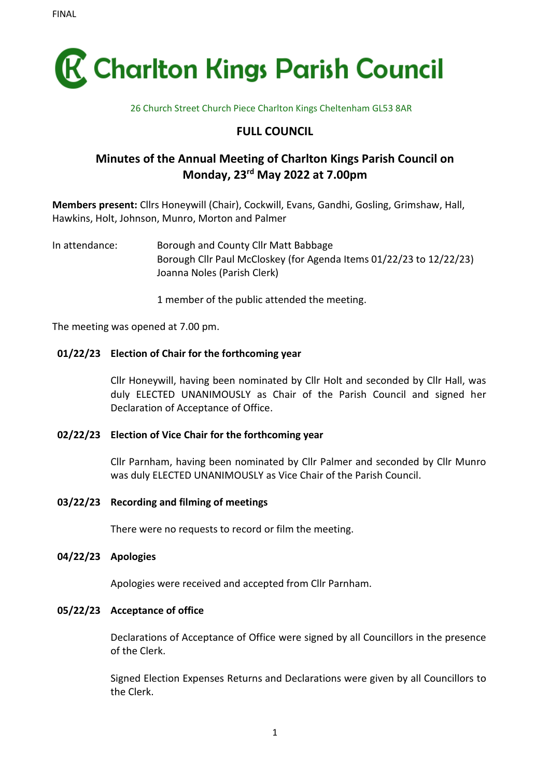

#### 26 Church Street Church Piece Charlton Kings Cheltenham GL53 8AR

# **FULL COUNCIL**

# **Minutes of the Annual Meeting of Charlton Kings Parish Council on Monday, 23 rd May 2022 at 7.00pm**

**Members present:** Cllrs Honeywill (Chair), Cockwill, Evans, Gandhi, Gosling, Grimshaw, Hall, Hawkins, Holt, Johnson, Munro, Morton and Palmer

In attendance: Borough and County Cllr Matt Babbage Borough Cllr Paul McCloskey (for Agenda Items 01/22/23 to 12/22/23) Joanna Noles (Parish Clerk)

1 member of the public attended the meeting.

The meeting was opened at 7.00 pm.

#### **01/22/23 Election of Chair for the forthcoming year**

Cllr Honeywill, having been nominated by Cllr Holt and seconded by Cllr Hall, was duly ELECTED UNANIMOUSLY as Chair of the Parish Council and signed her Declaration of Acceptance of Office.

#### **02/22/23 Election of Vice Chair for the forthcoming year**

Cllr Parnham, having been nominated by Cllr Palmer and seconded by Cllr Munro was duly ELECTED UNANIMOUSLY as Vice Chair of the Parish Council.

#### **03/22/23 Recording and filming of meetings**

There were no requests to record or film the meeting.

#### **04/22/23 Apologies**

Apologies were received and accepted from Cllr Parnham.

#### **05/22/23 Acceptance of office**

Declarations of Acceptance of Office were signed by all Councillors in the presence of the Clerk.

Signed Election Expenses Returns and Declarations were given by all Councillors to the Clerk.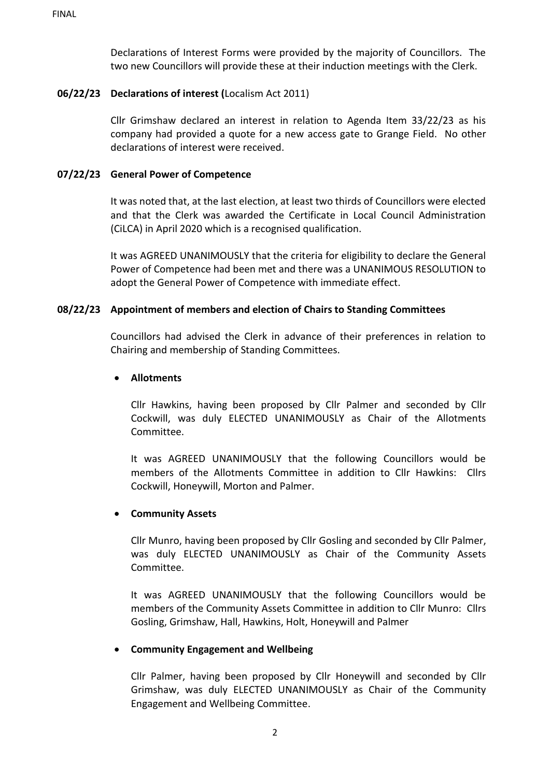Declarations of Interest Forms were provided by the majority of Councillors. The two new Councillors will provide these at their induction meetings with the Clerk.

### **06/22/23 Declarations of interest (**Localism Act 2011)

Cllr Grimshaw declared an interest in relation to Agenda Item 33/22/23 as his company had provided a quote for a new access gate to Grange Field. No other declarations of interest were received.

### **07/22/23 General Power of Competence**

It was noted that, at the last election, at least two thirds of Councillors were elected and that the Clerk was awarded the Certificate in Local Council Administration (CiLCA) in April 2020 which is a recognised qualification.

It was AGREED UNANIMOUSLY that the criteria for eligibility to declare the General Power of Competence had been met and there was a UNANIMOUS RESOLUTION to adopt the General Power of Competence with immediate effect.

### **08/22/23 Appointment of members and election of Chairs to Standing Committees**

Councillors had advised the Clerk in advance of their preferences in relation to Chairing and membership of Standing Committees.

#### • **Allotments**

Cllr Hawkins, having been proposed by Cllr Palmer and seconded by Cllr Cockwill, was duly ELECTED UNANIMOUSLY as Chair of the Allotments Committee.

It was AGREED UNANIMOUSLY that the following Councillors would be members of the Allotments Committee in addition to Cllr Hawkins: Cllrs Cockwill, Honeywill, Morton and Palmer.

#### • **Community Assets**

Cllr Munro, having been proposed by Cllr Gosling and seconded by Cllr Palmer, was duly ELECTED UNANIMOUSLY as Chair of the Community Assets Committee.

It was AGREED UNANIMOUSLY that the following Councillors would be members of the Community Assets Committee in addition to Cllr Munro: Cllrs Gosling, Grimshaw, Hall, Hawkins, Holt, Honeywill and Palmer

#### • **Community Engagement and Wellbeing**

Cllr Palmer, having been proposed by Cllr Honeywill and seconded by Cllr Grimshaw, was duly ELECTED UNANIMOUSLY as Chair of the Community Engagement and Wellbeing Committee.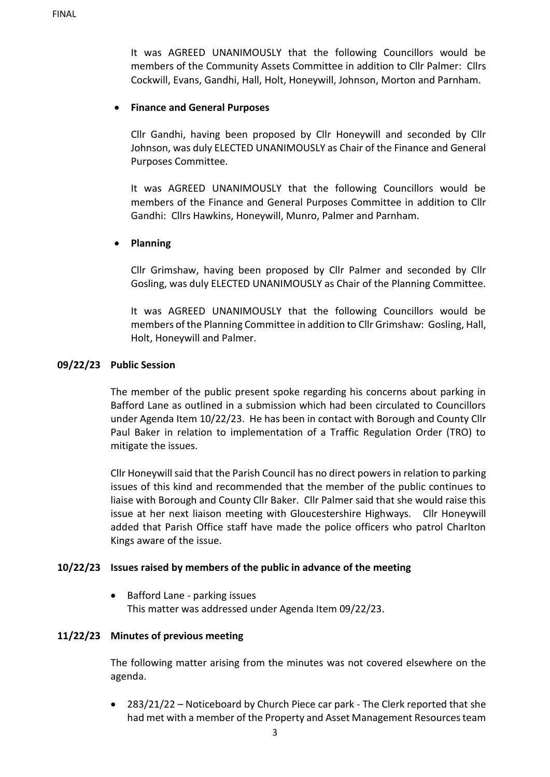It was AGREED UNANIMOUSLY that the following Councillors would be members of the Community Assets Committee in addition to Cllr Palmer: Cllrs Cockwill, Evans, Gandhi, Hall, Holt, Honeywill, Johnson, Morton and Parnham.

### • **Finance and General Purposes**

Cllr Gandhi, having been proposed by Cllr Honeywill and seconded by Cllr Johnson, was duly ELECTED UNANIMOUSLY as Chair of the Finance and General Purposes Committee.

It was AGREED UNANIMOUSLY that the following Councillors would be members of the Finance and General Purposes Committee in addition to Cllr Gandhi: Cllrs Hawkins, Honeywill, Munro, Palmer and Parnham.

### • **Planning**

Cllr Grimshaw, having been proposed by Cllr Palmer and seconded by Cllr Gosling, was duly ELECTED UNANIMOUSLY as Chair of the Planning Committee.

It was AGREED UNANIMOUSLY that the following Councillors would be members of the Planning Committee in addition to Cllr Grimshaw: Gosling, Hall, Holt, Honeywill and Palmer.

#### **09/22/23 Public Session**

The member of the public present spoke regarding his concerns about parking in Bafford Lane as outlined in a submission which had been circulated to Councillors under Agenda Item 10/22/23. He has been in contact with Borough and County Cllr Paul Baker in relation to implementation of a Traffic Regulation Order (TRO) to mitigate the issues.

Cllr Honeywill said that the Parish Council has no direct powers in relation to parking issues of this kind and recommended that the member of the public continues to liaise with Borough and County Cllr Baker. Cllr Palmer said that she would raise this issue at her next liaison meeting with Gloucestershire Highways. Cllr Honeywill added that Parish Office staff have made the police officers who patrol Charlton Kings aware of the issue.

#### **10/22/23 Issues raised by members of the public in advance of the meeting**

• Bafford Lane - parking issues This matter was addressed under Agenda Item 09/22/23.

#### **11/22/23 Minutes of previous meeting**

The following matter arising from the minutes was not covered elsewhere on the agenda.

• 283/21/22 – Noticeboard by Church Piece car park - The Clerk reported that she had met with a member of the Property and Asset Management Resources team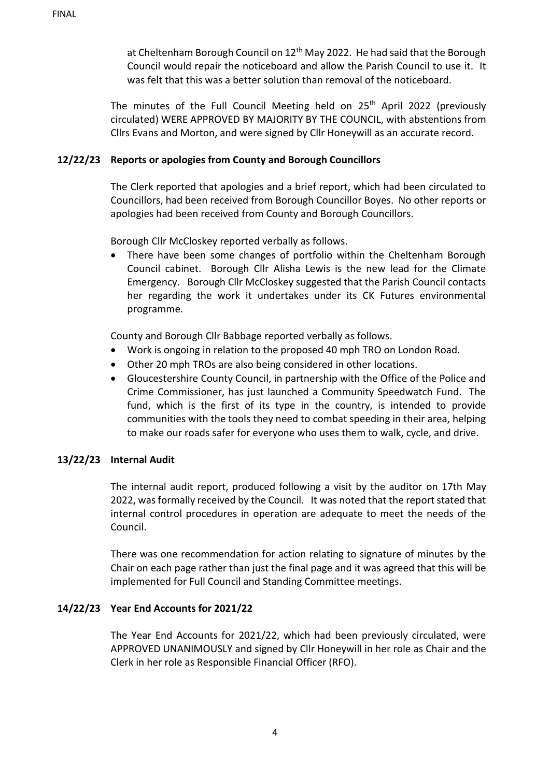at Cheltenham Borough Council on  $12<sup>th</sup>$  May 2022. He had said that the Borough Council would repair the noticeboard and allow the Parish Council to use it. It was felt that this was a better solution than removal of the noticeboard.

The minutes of the Full Council Meeting held on  $25<sup>th</sup>$  April 2022 (previously circulated) WERE APPROVED BY MAJORITY BY THE COUNCIL, with abstentions from Cllrs Evans and Morton, and were signed by Cllr Honeywill as an accurate record.

### **12/22/23 Reports or apologies from County and Borough Councillors**

The Clerk reported that apologies and a brief report, which had been circulated to Councillors, had been received from Borough Councillor Boyes. No other reports or apologies had been received from County and Borough Councillors.

Borough Cllr McCloskey reported verbally as follows.

• There have been some changes of portfolio within the Cheltenham Borough Council cabinet. Borough Cllr Alisha Lewis is the new lead for the Climate Emergency. Borough Cllr McCloskey suggested that the Parish Council contacts her regarding the work it undertakes under its CK Futures environmental programme.

County and Borough Cllr Babbage reported verbally as follows.

- Work is ongoing in relation to the proposed 40 mph TRO on London Road.
- Other 20 mph TROs are also being considered in other locations.
- Gloucestershire County Council, in partnership with the Office of the Police and Crime Commissioner, has just launched a Community Speedwatch Fund. The fund, which is the first of its type in the country, is intended to provide communities with the tools they need to combat speeding in their area, helping to make our roads safer for everyone who uses them to walk, cycle, and drive.

#### **13/22/23 Internal Audit**

The internal audit report, produced following a visit by the auditor on 17th May 2022, was formally received by the Council. It was noted that the report stated that internal control procedures in operation are adequate to meet the needs of the Council.

There was one recommendation for action relating to signature of minutes by the Chair on each page rather than just the final page and it was agreed that this will be implemented for Full Council and Standing Committee meetings.

## **14/22/23 Year End Accounts for 2021/22**

The Year End Accounts for 2021/22, which had been previously circulated, were APPROVED UNANIMOUSLY and signed by Cllr Honeywill in her role as Chair and the Clerk in her role as Responsible Financial Officer (RFO).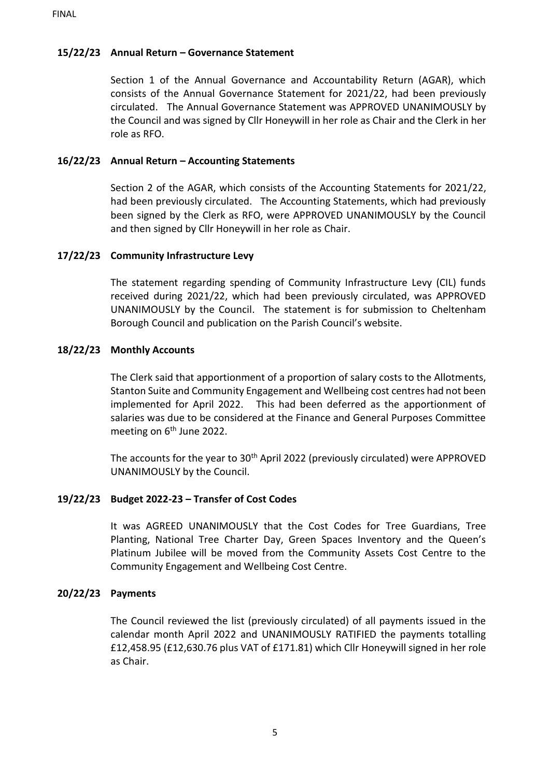# **15/22/23 Annual Return – Governance Statement**

Section 1 of the Annual Governance and Accountability Return (AGAR), which consists of the Annual Governance Statement for 2021/22, had been previously circulated. The Annual Governance Statement was APPROVED UNANIMOUSLY by the Council and was signed by Cllr Honeywill in her role as Chair and the Clerk in her role as RFO.

# **16/22/23 Annual Return – Accounting Statements**

Section 2 of the AGAR, which consists of the Accounting Statements for 2021/22, had been previously circulated. The Accounting Statements, which had previously been signed by the Clerk as RFO, were APPROVED UNANIMOUSLY by the Council and then signed by Cllr Honeywill in her role as Chair.

## **17/22/23 Community Infrastructure Levy**

The statement regarding spending of Community Infrastructure Levy (CIL) funds received during 2021/22, which had been previously circulated, was APPROVED UNANIMOUSLY by the Council. The statement is for submission to Cheltenham Borough Council and publication on the Parish Council's website.

### **18/22/23 Monthly Accounts**

The Clerk said that apportionment of a proportion of salary costs to the Allotments, Stanton Suite and Community Engagement and Wellbeing cost centres had not been implemented for April 2022. This had been deferred as the apportionment of salaries was due to be considered at the Finance and General Purposes Committee meeting on 6<sup>th</sup> June 2022.

The accounts for the year to 30<sup>th</sup> April 2022 (previously circulated) were APPROVED UNANIMOUSLY by the Council.

## **19/22/23 Budget 2022-23 – Transfer of Cost Codes**

It was AGREED UNANIMOUSLY that the Cost Codes for Tree Guardians, Tree Planting, National Tree Charter Day, Green Spaces Inventory and the Queen's Platinum Jubilee will be moved from the Community Assets Cost Centre to the Community Engagement and Wellbeing Cost Centre.

#### **20/22/23 Payments**

The Council reviewed the list (previously circulated) of all payments issued in the calendar month April 2022 and UNANIMOUSLY RATIFIED the payments totalling £12,458.95 (£12,630.76 plus VAT of £171.81) which Cllr Honeywill signed in her role as Chair.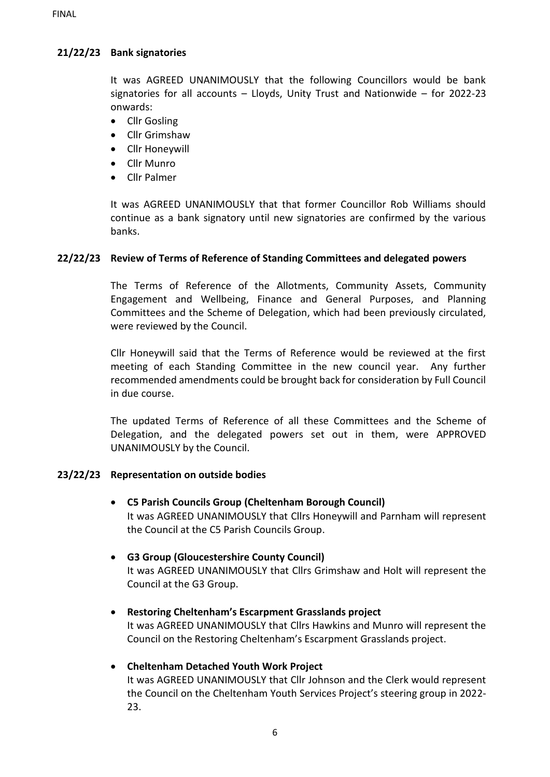# **21/22/23 Bank signatories**

It was AGREED UNANIMOUSLY that the following Councillors would be bank signatories for all accounts – Lloyds, Unity Trust and Nationwide – for 2022-23 onwards:

- Cllr Gosling
- Cllr Grimshaw
- Cllr Honeywill
- Cllr Munro
- Cllr Palmer

It was AGREED UNANIMOUSLY that that former Councillor Rob Williams should continue as a bank signatory until new signatories are confirmed by the various banks.

## **22/22/23 Review of Terms of Reference of Standing Committees and delegated powers**

The Terms of Reference of the Allotments, Community Assets, Community Engagement and Wellbeing, Finance and General Purposes, and Planning Committees and the Scheme of Delegation, which had been previously circulated, were reviewed by the Council.

Cllr Honeywill said that the Terms of Reference would be reviewed at the first meeting of each Standing Committee in the new council year. Any further recommended amendments could be brought back for consideration by Full Council in due course.

The updated Terms of Reference of all these Committees and the Scheme of Delegation, and the delegated powers set out in them, were APPROVED UNANIMOUSLY by the Council.

## **23/22/23 Representation on outside bodies**

- **C5 Parish Councils Group (Cheltenham Borough Council)** It was AGREED UNANIMOUSLY that Cllrs Honeywill and Parnham will represent the Council at the C5 Parish Councils Group.
- **G3 Group (Gloucestershire County Council)** It was AGREED UNANIMOUSLY that Cllrs Grimshaw and Holt will represent the Council at the G3 Group.
- **Restoring Cheltenham's Escarpment Grasslands project** It was AGREED UNANIMOUSLY that Cllrs Hawkins and Munro will represent the Council on the Restoring Cheltenham's Escarpment Grasslands project.

## • **Cheltenham Detached Youth Work Project**

It was AGREED UNANIMOUSLY that Cllr Johnson and the Clerk would represent the Council on the Cheltenham Youth Services Project's steering group in 2022- 23.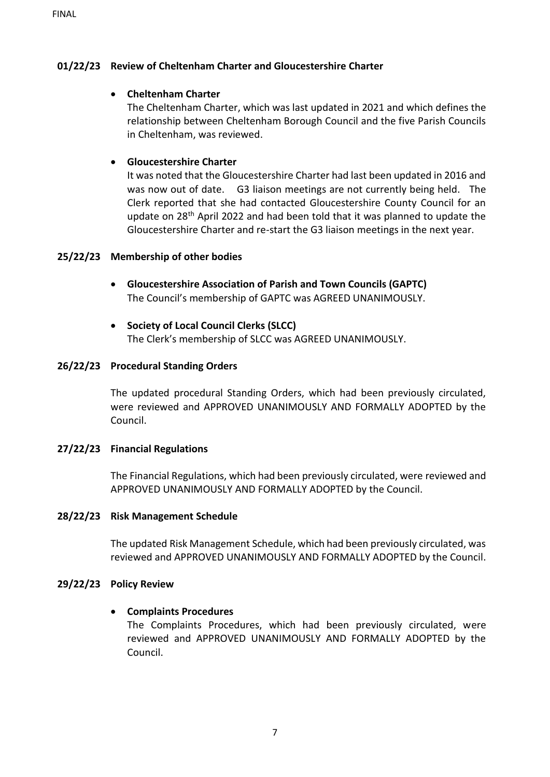## **01/22/23 Review of Cheltenham Charter and Gloucestershire Charter**

## • **Cheltenham Charter**

The Cheltenham Charter, which was last updated in 2021 and which defines the relationship between Cheltenham Borough Council and the five Parish Councils in Cheltenham, was reviewed.

## • **Gloucestershire Charter**

It was noted that the Gloucestershire Charter had last been updated in 2016 and was now out of date. G3 liaison meetings are not currently being held. The Clerk reported that she had contacted Gloucestershire County Council for an update on 28th April 2022 and had been told that it was planned to update the Gloucestershire Charter and re-start the G3 liaison meetings in the next year.

## **25/22/23 Membership of other bodies**

- **Gloucestershire Association of Parish and Town Councils (GAPTC)** The Council's membership of GAPTC was AGREED UNANIMOUSLY.
- **Society of Local Council Clerks (SLCC)** The Clerk's membership of SLCC was AGREED UNANIMOUSLY.

### **26/22/23 Procedural Standing Orders**

The updated procedural Standing Orders, which had been previously circulated, were reviewed and APPROVED UNANIMOUSLY AND FORMALLY ADOPTED by the Council.

#### **27/22/23 Financial Regulations**

The Financial Regulations, which had been previously circulated, were reviewed and APPROVED UNANIMOUSLY AND FORMALLY ADOPTED by the Council.

#### **28/22/23 Risk Management Schedule**

The updated Risk Management Schedule, which had been previously circulated, was reviewed and APPROVED UNANIMOUSLY AND FORMALLY ADOPTED by the Council.

#### **29/22/23 Policy Review**

#### • **Complaints Procedures**

The Complaints Procedures, which had been previously circulated, were reviewed and APPROVED UNANIMOUSLY AND FORMALLY ADOPTED by the Council.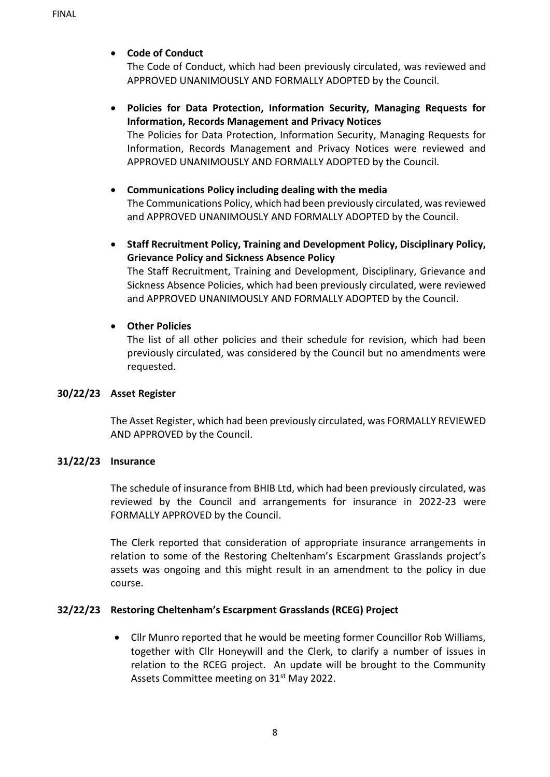### • **Code of Conduct**

The Code of Conduct, which had been previously circulated, was reviewed and APPROVED UNANIMOUSLY AND FORMALLY ADOPTED by the Council.

### • **Policies for Data Protection, Information Security, Managing Requests for Information, Records Management and Privacy Notices** The Policies for Data Protection, Information Security, Managing Requests for

Information, Records Management and Privacy Notices were reviewed and APPROVED UNANIMOUSLY AND FORMALLY ADOPTED by the Council.

# • **Communications Policy including dealing with the media**

The Communications Policy, which had been previously circulated, was reviewed and APPROVED UNANIMOUSLY AND FORMALLY ADOPTED by the Council.

• **Staff Recruitment Policy, Training and Development Policy, Disciplinary Policy, Grievance Policy and Sickness Absence Policy**

The Staff Recruitment, Training and Development, Disciplinary, Grievance and Sickness Absence Policies, which had been previously circulated, were reviewed and APPROVED UNANIMOUSLY AND FORMALLY ADOPTED by the Council.

### • **Other Policies**

The list of all other policies and their schedule for revision, which had been previously circulated, was considered by the Council but no amendments were requested.

#### **30/22/23 Asset Register**

The Asset Register, which had been previously circulated, was FORMALLY REVIEWED AND APPROVED by the Council.

#### **31/22/23 Insurance**

The schedule of insurance from BHIB Ltd, which had been previously circulated, was reviewed by the Council and arrangements for insurance in 2022-23 were FORMALLY APPROVED by the Council.

The Clerk reported that consideration of appropriate insurance arrangements in relation to some of the Restoring Cheltenham's Escarpment Grasslands project's assets was ongoing and this might result in an amendment to the policy in due course.

## **32/22/23 Restoring Cheltenham's Escarpment Grasslands (RCEG) Project**

• Cllr Munro reported that he would be meeting former Councillor Rob Williams, together with Cllr Honeywill and the Clerk, to clarify a number of issues in relation to the RCEG project. An update will be brought to the Community Assets Committee meeting on 31<sup>st</sup> May 2022.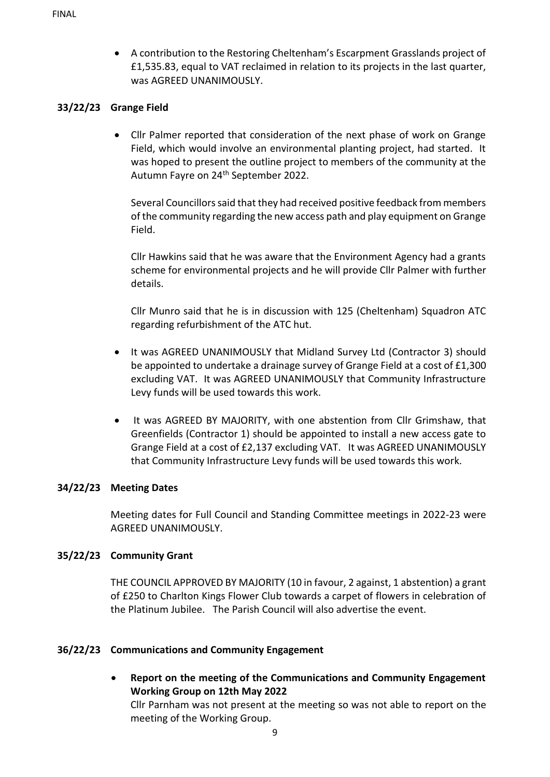• A contribution to the Restoring Cheltenham's Escarpment Grasslands project of £1,535.83, equal to VAT reclaimed in relation to its projects in the last quarter, was AGREED UNANIMOUSLY.

### **33/22/23 Grange Field**

• Cllr Palmer reported that consideration of the next phase of work on Grange Field, which would involve an environmental planting project, had started. It was hoped to present the outline project to members of the community at the Autumn Fayre on 24<sup>th</sup> September 2022.

Several Councillors said that they had received positive feedback from members of the community regarding the new access path and play equipment on Grange Field.

Cllr Hawkins said that he was aware that the Environment Agency had a grants scheme for environmental projects and he will provide Cllr Palmer with further details.

Cllr Munro said that he is in discussion with 125 (Cheltenham) Squadron ATC regarding refurbishment of the ATC hut.

- It was AGREED UNANIMOUSLY that Midland Survey Ltd (Contractor 3) should be appointed to undertake a drainage survey of Grange Field at a cost of £1,300 excluding VAT. It was AGREED UNANIMOUSLY that Community Infrastructure Levy funds will be used towards this work.
- It was AGREED BY MAJORITY, with one abstention from Cllr Grimshaw, that Greenfields (Contractor 1) should be appointed to install a new access gate to Grange Field at a cost of £2,137 excluding VAT. It was AGREED UNANIMOUSLY that Community Infrastructure Levy funds will be used towards this work.

## **34/22/23 Meeting Dates**

Meeting dates for Full Council and Standing Committee meetings in 2022-23 were AGREED UNANIMOUSLY.

## **35/22/23 Community Grant**

THE COUNCIL APPROVED BY MAJORITY (10 in favour, 2 against, 1 abstention) a grant of £250 to Charlton Kings Flower Club towards a carpet of flowers in celebration of the Platinum Jubilee. The Parish Council will also advertise the event.

#### **36/22/23 Communications and Community Engagement**

• **Report on the meeting of the Communications and Community Engagement Working Group on 12th May 2022**

Cllr Parnham was not present at the meeting so was not able to report on the meeting of the Working Group.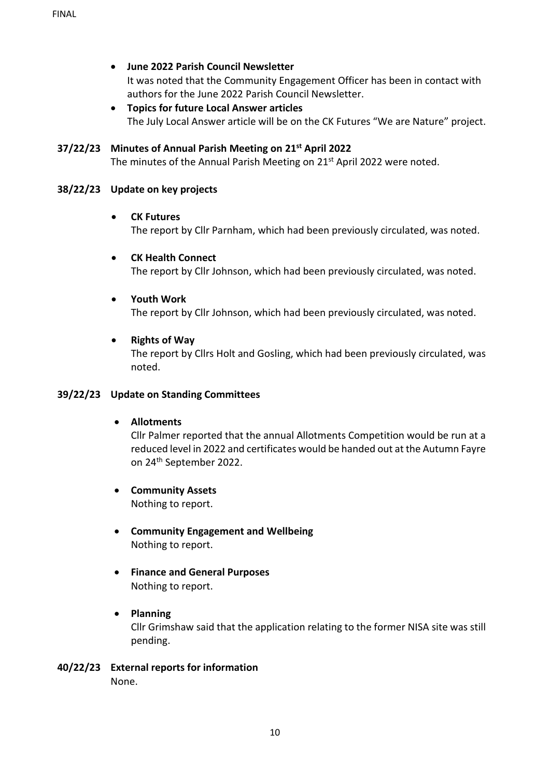- **June 2022 Parish Council Newsletter** It was noted that the Community Engagement Officer has been in contact with authors for the June 2022 Parish Council Newsletter.
- **Topics for future Local Answer articles** The July Local Answer article will be on the CK Futures "We are Nature" project.

#### **37/22/23 Minutes of Annual Parish Meeting on 21st April 2022**

The minutes of the Annual Parish Meeting on 21<sup>st</sup> April 2022 were noted.

#### **38/22/23 Update on key projects**

#### • **CK Futures**

The report by Cllr Parnham, which had been previously circulated, was noted.

# • **CK Health Connect**

The report by Cllr Johnson, which had been previously circulated, was noted.

### • **Youth Work**

The report by Cllr Johnson, which had been previously circulated, was noted.

#### • **Rights of Way**

The report by Cllrs Holt and Gosling, which had been previously circulated, was noted.

#### **39/22/23 Update on Standing Committees**

#### • **Allotments**

Cllr Palmer reported that the annual Allotments Competition would be run at a reduced level in 2022 and certificates would be handed out at the Autumn Fayre on 24th September 2022.

• **Community Assets**

Nothing to report.

- **Community Engagement and Wellbeing** Nothing to report.
- **Finance and General Purposes**  Nothing to report.
- **Planning** Cllr Grimshaw said that the application relating to the former NISA site was still pending.
- **40/22/23 External reports for information** None.